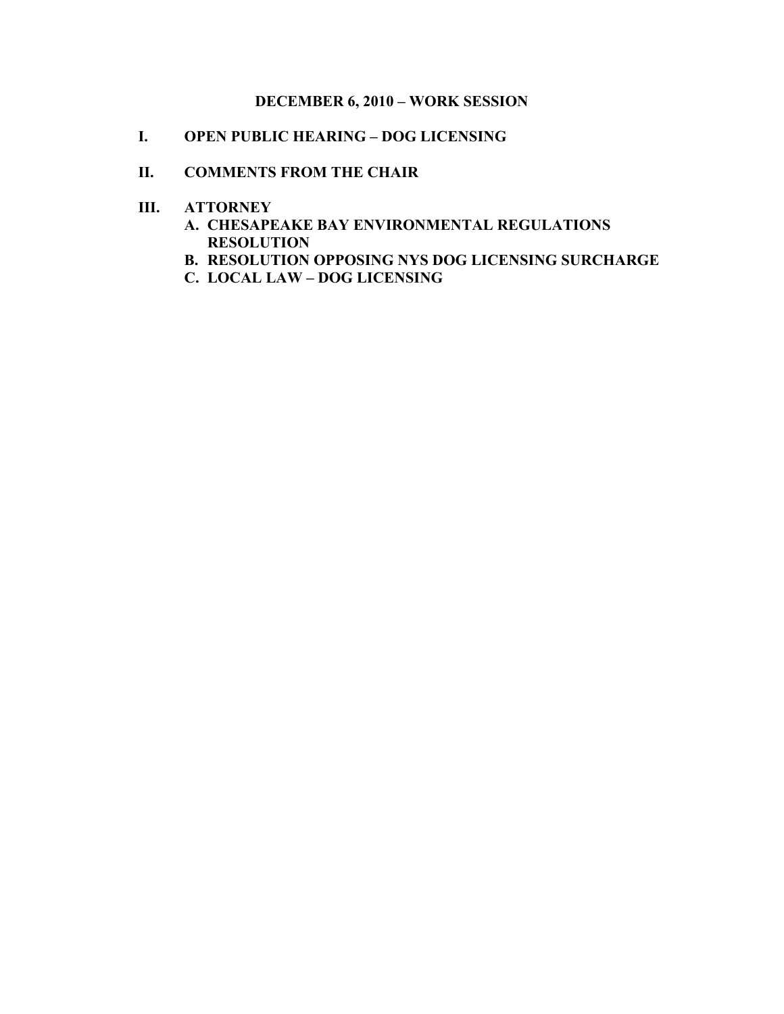# **DECEMBER 6, 2010 – WORK SESSION**

**I. OPEN PUBLIC HEARING – DOG LICENSING**

## **II. COMMENTS FROM THE CHAIR**

- **III. ATTORNEY**
	- **A. CHESAPEAKE BAY ENVIRONMENTAL REGULATIONS RESOLUTION**
	- **B. RESOLUTION OPPOSING NYS DOG LICENSING SURCHARGE**
	- **C. LOCAL LAW DOG LICENSING**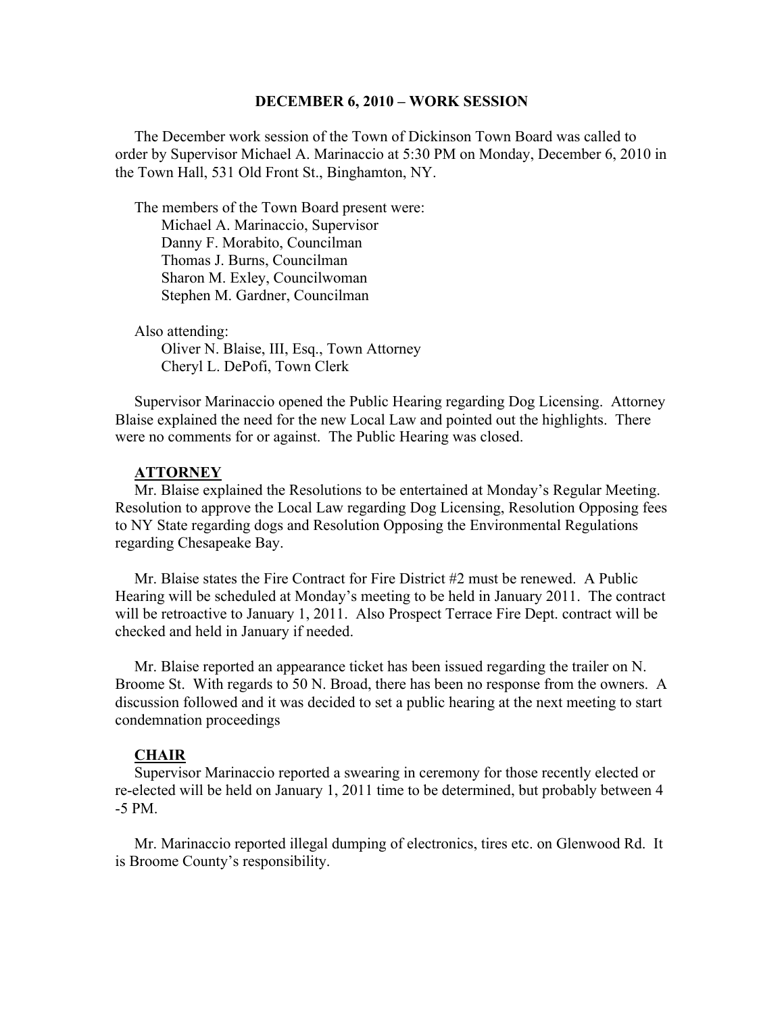### **DECEMBER 6, 2010 – WORK SESSION**

 The December work session of the Town of Dickinson Town Board was called to order by Supervisor Michael A. Marinaccio at 5:30 PM on Monday, December 6, 2010 in the Town Hall, 531 Old Front St., Binghamton, NY.

 The members of the Town Board present were: Michael A. Marinaccio, Supervisor Danny F. Morabito, Councilman Thomas J. Burns, Councilman Sharon M. Exley, Councilwoman Stephen M. Gardner, Councilman

 Also attending: Oliver N. Blaise, III, Esq., Town Attorney Cheryl L. DePofi, Town Clerk

 Supervisor Marinaccio opened the Public Hearing regarding Dog Licensing. Attorney Blaise explained the need for the new Local Law and pointed out the highlights. There were no comments for or against. The Public Hearing was closed.

#### **ATTORNEY**

 Mr. Blaise explained the Resolutions to be entertained at Monday's Regular Meeting. Resolution to approve the Local Law regarding Dog Licensing, Resolution Opposing fees to NY State regarding dogs and Resolution Opposing the Environmental Regulations regarding Chesapeake Bay.

 Mr. Blaise states the Fire Contract for Fire District #2 must be renewed. A Public Hearing will be scheduled at Monday's meeting to be held in January 2011. The contract will be retroactive to January 1, 2011. Also Prospect Terrace Fire Dept. contract will be checked and held in January if needed.

 Mr. Blaise reported an appearance ticket has been issued regarding the trailer on N. Broome St. With regards to 50 N. Broad, there has been no response from the owners. A discussion followed and it was decided to set a public hearing at the next meeting to start condemnation proceedings

#### **CHAIR**

 Supervisor Marinaccio reported a swearing in ceremony for those recently elected or re-elected will be held on January 1, 2011 time to be determined, but probably between 4 -5 PM.

 Mr. Marinaccio reported illegal dumping of electronics, tires etc. on Glenwood Rd. It is Broome County's responsibility.